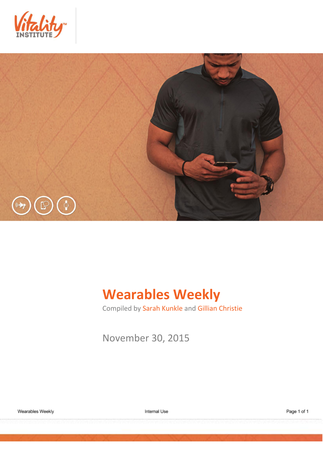



# **Wearables Weekly**

Compiled by Sarah Kunkle and Gillian Christie

November 30, 2015

Internal Use

Page 1 of 1